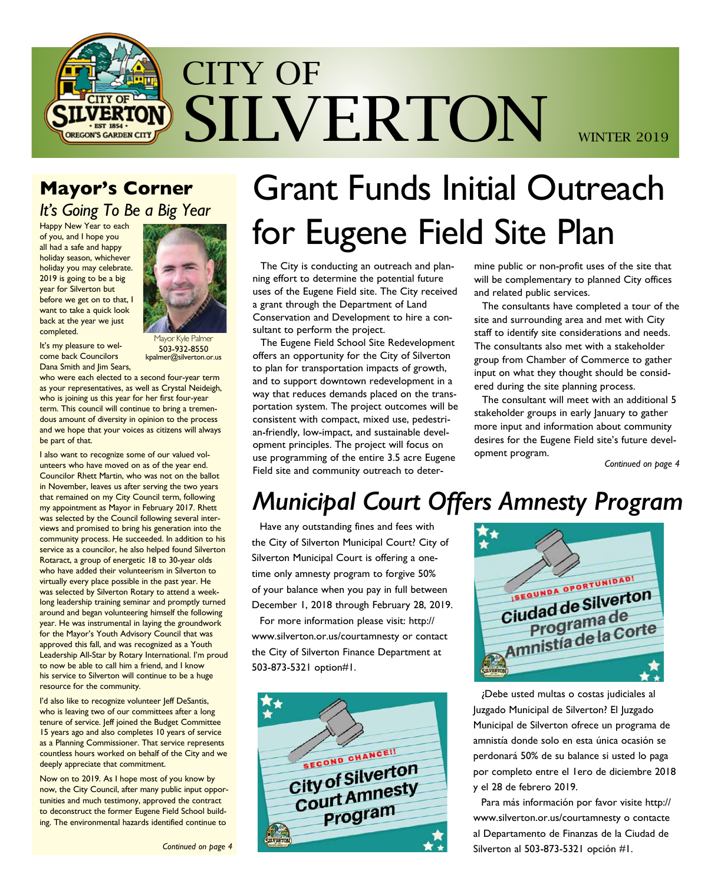

### **Mayor's Corner** *It's Going To Be a Big Year*

Happy New Year to each of you, and I hope you all had a safe and happy holiday season, whichever holiday you may celebrate. 2019 is going to be a big year for Silverton but before we get on to that, I want to take a quick look back at the year we just completed.



It's my pleasure to welcome back Councilors Dana Smith and Jim Sears,

1avor Kyle Palmer 503-932-8550 kpalmer@silverton.or.us

who were each elected to a second four-year term as your representatives, as well as Crystal Neideigh, who is joining us this year for her first four-year term. This council will continue to bring a tremendous amount of diversity in opinion to the process and we hope that your voices as citizens will always be part of that.

I also want to recognize some of our valued volunteers who have moved on as of the year end. Councilor Rhett Martin, who was not on the ballot in November, leaves us after serving the two years that remained on my City Council term, following my appointment as Mayor in February 2017. Rhett was selected by the Council following several interviews and promised to bring his generation into the community process. He succeeded. In addition to his service as a councilor, he also helped found Silverton Rotaract, a group of energetic 18 to 30-year olds who have added their volunteerism in Silverton to virtually every place possible in the past year. He was selected by Silverton Rotary to attend a weeklong leadership training seminar and promptly turned around and began volunteering himself the following year. He was instrumental in laying the groundwork for the Mayor's Youth Advisory Council that was approved this fall, and was recognized as a Youth Leadership All-Star by Rotary International. I'm proud to now be able to call him a friend, and I know his service to Silverton will continue to be a huge resource for the community.

I'd also like to recognize volunteer Jeff DeSantis, who is leaving two of our committees after a long tenure of service. Jeff joined the Budget Committee 15 years ago and also completes 10 years of service as a Planning Commissioner. That service represents countless hours worked on behalf of the City and we deeply appreciate that commitment.

Now on to 2019. As I hope most of you know by now, the City Council, after many public input opportunities and much testimony, approved the contract to deconstruct the former Eugene Field School building. The environmental hazards identified continue to

# Grant Funds Initial Outreach for Eugene Field Site Plan

The City is conducting an outreach and planning effort to determine the potential future uses of the Eugene Field site. The City received a grant through the Department of Land Conservation and Development to hire a consultant to perform the project.

The Eugene Field School Site Redevelopment offers an opportunity for the City of Silverton to plan for transportation impacts of growth, and to support downtown redevelopment in a way that reduces demands placed on the transportation system. The project outcomes will be consistent with compact, mixed use, pedestrian-friendly, low-impact, and sustainable development principles. The project will focus on use programming of the entire 3.5 acre Eugene Field site and community outreach to determine public or non-profit uses of the site that will be complementary to planned City offices and related public services.

The consultants have completed a tour of the site and surrounding area and met with City staff to identify site considerations and needs. The consultants also met with a stakeholder group from Chamber of Commerce to gather input on what they thought should be considered during the site planning process.

The consultant will meet with an additional 5 stakeholder groups in early January to gather more input and information about community desires for the Eugene Field site's future development program.

*Continued on page 4*

## *Municipal Court Offers Amnesty Program*

Have any outstanding fines and fees with the City of Silverton Municipal Court? City of Silverton Municipal Court is offering a onetime only amnesty program to forgive 50% of your balance when you pay in full between December 1, 2018 through February 28, 2019.

For more information please visit: http:// www.silverton.or.us/courtamnesty or contact the City of Silverton Finance Department at 503-873-5321 option#1.





¿Debe usted multas o costas judiciales al Juzgado Municipal de Silverton? El Juzgado Municipal de Silverton ofrece un programa de amnistía donde solo en esta única ocasión se perdonará 50% de su balance si usted lo paga por completo entre el 1ero de diciembre 2018 y el 28 de febrero 2019.

Para más información por favor visite http:// www.silverton.or.us/courtamnesty o contacte al Departamento de Finanzas de la Ciudad de Silverton al 503-873-5321 opción #1.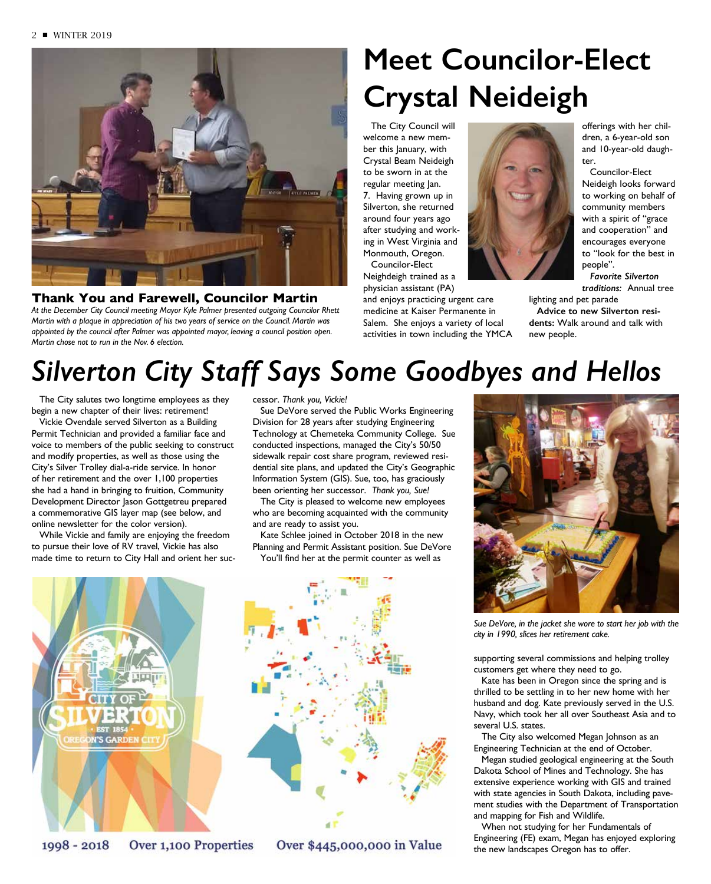

#### **Thank You and Farewell, Councilor Martin**

*At the December City Council meeting Mayor Kyle Palmer presented outgoing Councilor Rhett Martin with a plaque in appreciation of his two years of service on the Council. Martin was appointed by the council after Palmer was appointed mayor, leaving a council position open. Martin chose not to run in the Nov. 6 election.*

# **Meet Councilor-Elect Crystal Neideigh**

The City Council will welcome a new member this January, with Crystal Beam Neideigh to be sworn in at the regular meeting Jan. 7. Having grown up in Silverton, she returned around four years ago after studying and working in West Virginia and Monmouth, Oregon.

Councilor-Elect Neighdeigh trained as a physician assistant (PA)

and enjoys practicing urgent care medicine at Kaiser Permanente in Salem. She enjoys a variety of local activities in town including the YMCA offerings with her children, a 6-year-old son and 10-year-old daughter.

Councilor-Elect Neideigh looks forward to working on behalf of community members with a spirit of "grace and cooperation" and encourages everyone to "look for the best in people".

*Favorite Silverton traditions:* Annual tree

lighting and pet parade **Advice to new Silverton residents:** Walk around and talk with new people.

## *Silverton City Staff Says Some Goodbyes and Hellos*

The City salutes two longtime employees as they begin a new chapter of their lives: retirement!

Vickie Ovendale served Silverton as a Building Permit Technician and provided a familiar face and voice to members of the public seeking to construct and modify properties, as well as those using the City's Silver Trolley dial-a-ride service. In honor of her retirement and the over 1,100 properties she had a hand in bringing to fruition, Community Development Director Jason Gottgetreu prepared a commemorative GIS layer map (see below, and online newsletter for the color version).

While Vickie and family are enjoying the freedom to pursue their love of RV travel, Vickie has also made time to return to City Hall and orient her suc-



1998 - 2018 Over 1,100 Properties

cessor. *Thank you, Vickie!* 

Sue DeVore served the Public Works Engineering Division for 28 years after studying Engineering Technology at Chemeteka Community College. Sue conducted inspections, managed the City's 50/50 sidewalk repair cost share program, reviewed residential site plans, and updated the City's Geographic Information System (GIS). Sue, too, has graciously been orienting her successor. *Thank you, Sue!*

The City is pleased to welcome new employees who are becoming acquainted with the community and are ready to assist you.

Kate Schlee joined in October 2018 in the new Planning and Permit Assistant position. Sue DeVore You'll find her at the permit counter as well as



Over \$445,000,000 in Value



*Sue DeVore, in the jacket she wore to start her job with the city in 1990, slices her retirement cake.*

supporting several commissions and helping trolley customers get where they need to go.

Kate has been in Oregon since the spring and is thrilled to be settling in to her new home with her husband and dog. Kate previously served in the U.S. Navy, which took her all over Southeast Asia and to several U.S. states.

The City also welcomed Megan Johnson as an Engineering Technician at the end of October.

Megan studied geological engineering at the South Dakota School of Mines and Technology. She has extensive experience working with GIS and trained with state agencies in South Dakota, including pavement studies with the Department of Transportation and mapping for Fish and Wildlife.

When not studying for her Fundamentals of Engineering (FE) exam, Megan has enjoyed exploring the new landscapes Oregon has to offer.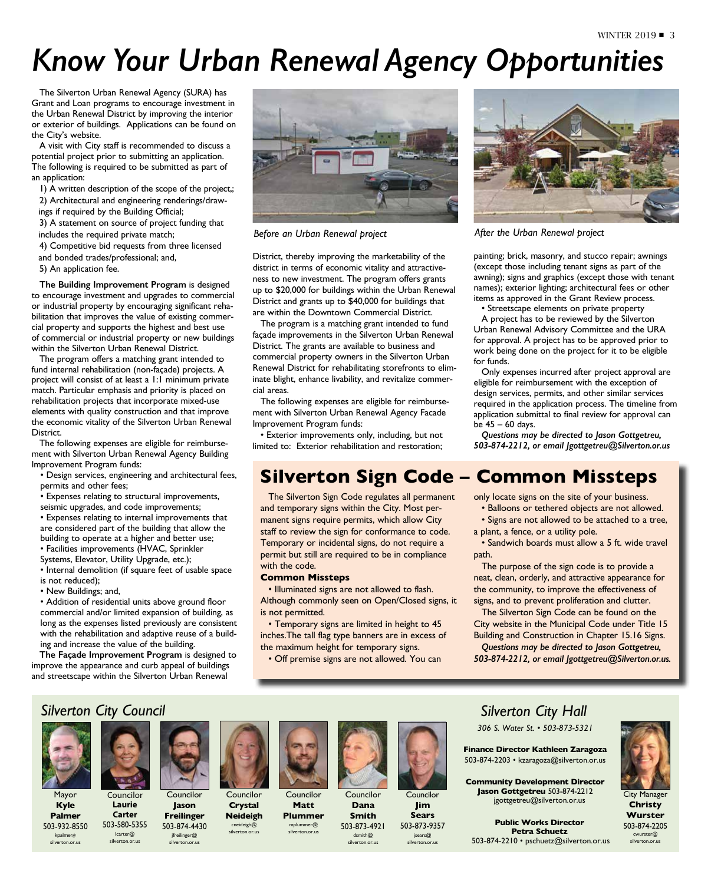## *Know Your Urban Renewal Agency Opportunities*

The Silverton Urban Renewal Agency (SURA) has Grant and Loan programs to encourage investment in the Urban Renewal District by improving the interior or exterior of buildings. Applications can be found on the City's website.

A visit with City staff is recommended to discuss a potential project prior to submitting an application. The following is required to be submitted as part of an application:

1) A written description of the scope of the project,; 2) Architectural and engineering renderings/draw-

ings if required by the Building Official;

3) A statement on source of project funding that includes the required private match;

4) Competitive bid requests from three licensed

and bonded trades/professional; and,

5) An application fee.

**The Building Improvement Program** is designed to encourage investment and upgrades to commercial or industrial property by encouraging significant rehabilitation that improves the value of existing commercial property and supports the highest and best use of commercial or industrial property or new buildings within the Silverton Urban Renewal District.

The program offers a matching grant intended to fund internal rehabilitation (non-façade) projects. A project will consist of at least a 1:1 minimum private match. Particular emphasis and priority is placed on rehabilitation projects that incorporate mixed-use elements with quality construction and that improve the economic vitality of the Silverton Urban Renewal District.

The following expenses are eligible for reimbursement with Silverton Urban Renewal Agency Building Improvement Program funds:

- Design services, engineering and architectural fees, permits and other fees;
- Expenses relating to structural improvements,
- seismic upgrades, and code improvements;

• Expenses relating to internal improvements that are considered part of the building that allow the

building to operate at a higher and better use;

• Facilities improvements (HVAC, Sprinkler

Systems, Elevator, Utility Upgrade, etc.);

• Internal demolition (if square feet of usable space is not reduced);

• New Buildings; and,

• Addition of residential units above ground floor commercial and/or limited expansion of building, as long as the expenses listed previously are consistent with the rehabilitation and adaptive reuse of a building and increase the value of the building.

**The Façade Improvement Program** is designed to improve the appearance and curb appeal of buildings and streetscape within the Silverton Urban Renewal



*Before an Urban Renewal project After the Urban Renewal project*

District, thereby improving the marketability of the district in terms of economic vitality and attractiveness to new investment. The program offers grants up to \$20,000 for buildings within the Urban Renewal District and grants up to \$40,000 for buildings that are within the Downtown Commercial District.

The program is a matching grant intended to fund façade improvements in the Silverton Urban Renewal District. The grants are available to business and commercial property owners in the Silverton Urban Renewal District for rehabilitating storefronts to eliminate blight, enhance livability, and revitalize commercial areas.

The following expenses are eligible for reimbursement with Silverton Urban Renewal Agency Facade Improvement Program funds:

• Exterior improvements only, including, but not limited to: Exterior rehabilitation and restoration;

The Silverton Sign Code regulates all permanent and temporary signs within the City. Most permanent signs require permits, which allow City staff to review the sign for conformance to code. Temporary or incidental signs, do not require a permit but still are required to be in compliance

• Illuminated signs are not allowed to flash. Although commonly seen on Open/Closed signs, it

• Temporary signs are limited in height to 45 inches.The tall flag type banners are in excess of

• Off premise signs are not allowed. You can

the maximum height for temporary signs.

### **Silverton Sign Code – Common Missteps**

for funds.

be 45 – 60 days.

only locate signs on the site of your business.

• Balloons or tethered objects are not allowed. • Signs are not allowed to be attached to a tree,

painting; brick, masonry, and stucco repair; awnings (except those including tenant signs as part of the awning); signs and graphics (except those with tenant names); exterior lighting; architectural fees or other items as approved in the Grant Review process. • Streetscape elements on private property A project has to be reviewed by the Silverton Urban Renewal Advisory Committee and the URA for approval. A project has to be approved prior to work being done on the project for it to be eligible

Only expenses incurred after project approval are eligible for reimbursement with the exception of design services, permits, and other similar services required in the application process. The timeline from application submittal to final review for approval can

*Questions may be directed to Jason Gottgetreu, 503-874-2212, or email Jgottgetreu@Silverton.or.us*

a plant, a fence, or a utility pole. • Sandwich boards must allow a 5 ft. wide travel

path.

The purpose of the sign code is to provide a neat, clean, orderly, and attractive appearance for the community, to improve the effectiveness of signs, and to prevent proliferation and clutter.

The Silverton Sign Code can be found on the City website in the Municipal Code under Title 15 Building and Construction in Chapter 15.16 Signs. *Questions may be directed to Jason Gottgetreu,* 

*503-874-2212, or email Jgottgetreu@Silverton.or.us.*

#### *Silverton City Council*



Mayor **Kyle Palmer**

503-932-8550 kpalmer@ silverton.or.us

Councilor **Laurie Carter** 503-580-5355 lcarter@ silverton.or.us 503-874-4430



Councilor **Jason Freilinger** Councilor **Crystal Neideigh** cneideigh@ silverton.or.us

jfreilinger@ silverton.or.us



with the code.

is not permitted.

**Common Missteps**

**Matt Plummer** 



Councilor **Dana Smith** 503-873-4921





dsmith@ silverton.or.us **Jim Sears** 503-873-9357 jsears@ silverton.or.us

#### *Silverton City Hall*

*306 S. Water St. • 503-873-5321*

**Finance Director Kathleen Zaragoza** 503-874-2203 • kzaragoza@silverton.or.us

**Community Development Director Jason Gottgetreu** 503-874-2212 jgottgetreu@silverton.or.us

**Public Works Director Petra Schuetz** 503-874-2210 • pschuetz@silverton.or.us

City Manager **Christy Wurster** 503-874-2205 cwurster@ silverton.or.us

Councilor